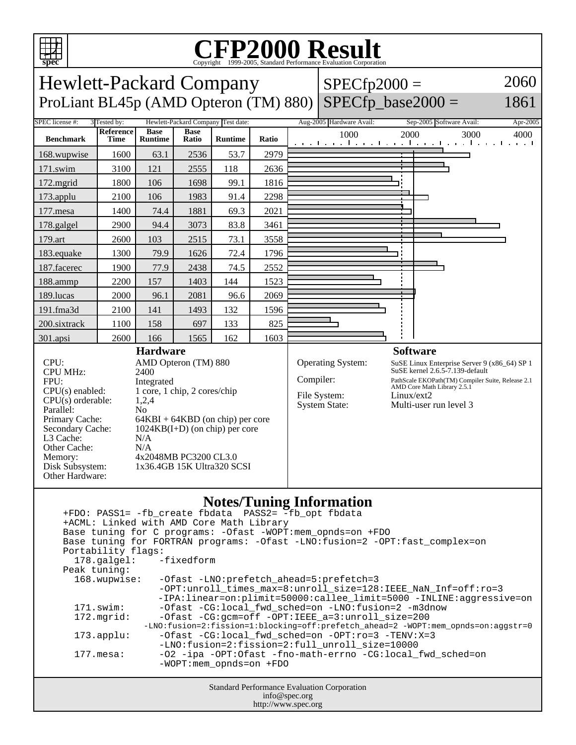

## C<sub>opyright</sub> ©1999-2005, Standard Performance Evaluation Corporation

Hewlett-Packard Company ProLiant BL45p (AMD Opteron (TM) 880)

 $SPECfp2000 =$  $SPECfp\_base2000 =$ 

1861

2060

## SPEC license #: 3 Tested by: Hewlett-Packard Company Test date: Aug-2005 Hardware Avail: Sep-2005 Software Avail: Apr-2005 **Benchmark Reference Time Base Runtime Base Runtime Ratio** 1000 2000 3000 4000 168.wupwise 1600 63.1 2536 53.7 2979 171.swim | 3100 | 121 | 2555 | 118 | 2636 172.mgrid 1800 106 1698 99.1 1816 173.applu | 2100 | 106 | 1983 | 91.4 | 2298 177.mesa | 1400 | 74.4 | 1881 | 69.3 | 2021 178.galgel 2900 94.4 3073 83.8 3461 179.art 2600 103 2515 73.1 3558 183.equake 1300 79.9 1626 72.4 1796 187.facerec | 1900 | 77.9 | 2438 | 74.5 | 2552 188.ammp | 2200 | 157 | 1403 | 144 | 1523 189.lucas | 2000 | 96.1 | 2081 | 96.6 | 2069 191.fma3d 2100 141 1493 132 1596 200.sixtrack 1100 158 697 133 825 301.apsi | 2600 | 166 | 1565 | 162 | 1603 **Hardware Software**

CPU MHz: FPU: Integrated<br>CPU(s) enabled: 1 core, 1 c  $CPU(s)$  orderable: Parallel: No<br>Primary Cache: 64F L3 Cache: N/A<br>Other Cache: N/A Other Cache:<br>Memory: Other Hardware:

CPU: AMD Opteron (TM) 880<br>CPU MHz: 2400  $1 \text{ core}, 1 \text{ chip}, 2 \text{ cores/chip}$ <br> $1.2.4$  $64KBI + 64KBD$  (on chip) per core Secondary Cache: 1024KB(I+D) (on chip) per core 4x2048MB PC3200 CL3.0 Disk Subsystem: 1x36.4GB 15K Ultra320 SCSI

Operating System: SuSE Linux Enterprise Server 9 (x86\_64) SP 1 SuSE kernel 2.6.5-7.139-default Compiler: PathScale EKOPath(TM) Compiler Suite, Release 2.1 AMD Core Math Library 2.5.1 File System: Linux/ext2<br>System State: Multi-user Multi-user run level 3

## **Notes/Tuning Information**

| $1.000007$ = which $\frac{1}{2}$ = and 0.1 minutes of a<br>+FDO: PASS1= -fb_create fbdata PASS2= -fb_opt fbdata<br>+ACML: Linked with AMD Core Math Library<br>Base tuning for C programs: - Ofast - WOPT: mem_opnds=on + FDO |                                                                                                                                                                                 |  |  |  |
|-------------------------------------------------------------------------------------------------------------------------------------------------------------------------------------------------------------------------------|---------------------------------------------------------------------------------------------------------------------------------------------------------------------------------|--|--|--|
| Base tuning for FORTRAN programs: - Ofast -LNO: fusion=2 - OPT: fast complex=on                                                                                                                                               |                                                                                                                                                                                 |  |  |  |
| Portability flags:                                                                                                                                                                                                            |                                                                                                                                                                                 |  |  |  |
| 178.galgel: -fixedform                                                                                                                                                                                                        |                                                                                                                                                                                 |  |  |  |
| Peak tuning:                                                                                                                                                                                                                  |                                                                                                                                                                                 |  |  |  |
| 168.wupwise:                                                                                                                                                                                                                  | -Ofast -LNO:prefetch ahead=5:prefetch=3<br>-OPT:unroll_times_max=8:unroll_size=128:IEEE_NaN_Inf=off:ro=3<br>-IPA:linear=on:plimit=50000:callee_limit=5000 -INLINE:aggressive=on |  |  |  |
| $171$ .swim:                                                                                                                                                                                                                  | -Ofast -CG:local_fwd_sched=on -LNO:fusion=2 -m3dnow                                                                                                                             |  |  |  |
| 172.mgrid:                                                                                                                                                                                                                    | -Ofast -CG: qcm=off -OPT: IEEE a=3: unroll size=200                                                                                                                             |  |  |  |
| -LNO:fusion=2:fission=1:blocking=off:prefetch_ahead=2 -WOPT:mem_opnds=on:aggstr=0                                                                                                                                             |                                                                                                                                                                                 |  |  |  |
| $173.\text{applu}:$                                                                                                                                                                                                           | $-Ofast$ -CG:local fwd sched=on -OPT: $ro=3$ -TENV:X=3<br>-LNO:fusion=2:fission=2:full_unroll_size=10000                                                                        |  |  |  |
| $177.\text{mesa}$ :                                                                                                                                                                                                           | -02 -ipa -0PT:Ofast -fno-math-errno -CG:local fwd sched=on<br>$-WOPT$ : mem opnds=on +FDO                                                                                       |  |  |  |
| Standard Darfamanga Evaluation Compration                                                                                                                                                                                     |                                                                                                                                                                                 |  |  |  |

Standard Performance Evaluation Corporation info@spec.org http://www.spec.org